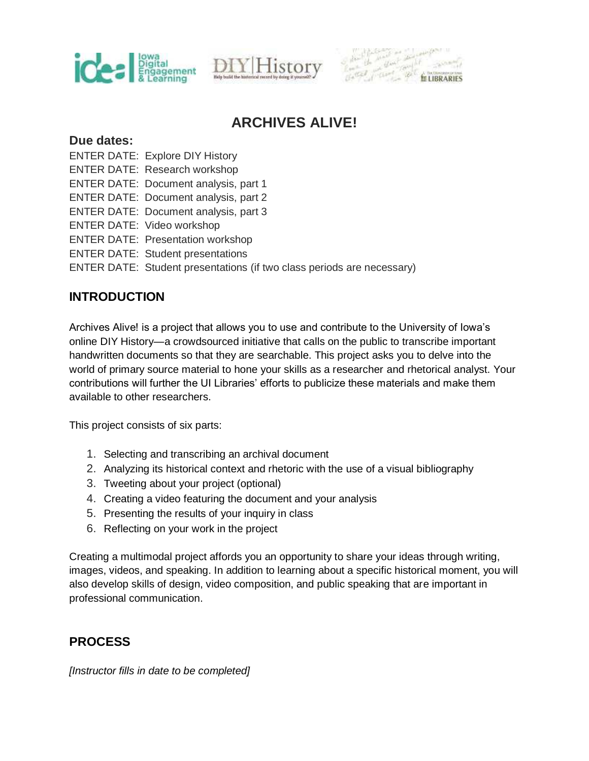





## **ARCHIVES ALIVE!**

#### **Due dates:**

- ENTER DATE: Explore DIY History
- ENTER DATE: Research workshop
- ENTER DATE: Document analysis, part 1
- ENTER DATE: Document analysis, part 2
- ENTER DATE: Document analysis, part 3
- ENTER DATE: Video workshop
- ENTER DATE: Presentation workshop
- ENTER DATE: Student presentations
- ENTER DATE: Student presentations (if two class periods are necessary)

## **INTRODUCTION**

Archives Alive! is a project that allows you to use and contribute to the University of Iowa's online DIY History—a crowdsourced initiative that calls on the public to transcribe important handwritten documents so that they are searchable. This project asks you to delve into the world of primary source material to hone your skills as a researcher and rhetorical analyst. Your contributions will further the UI Libraries' efforts to publicize these materials and make them available to other researchers.

This project consists of six parts:

- 1. Selecting and transcribing an archival document
- 2. Analyzing its historical context and rhetoric with the use of a visual bibliography
- 3. Tweeting about your project (optional)
- 4. Creating a video featuring the document and your analysis
- 5. Presenting the results of your inquiry in class
- 6. Reflecting on your work in the project

Creating a multimodal project affords you an opportunity to share your ideas through writing, images, videos, and speaking. In addition to learning about a specific historical moment, you will also develop skills of design, video composition, and public speaking that are important in professional communication.

## **PROCESS**

[Instructor fills in date to be completed]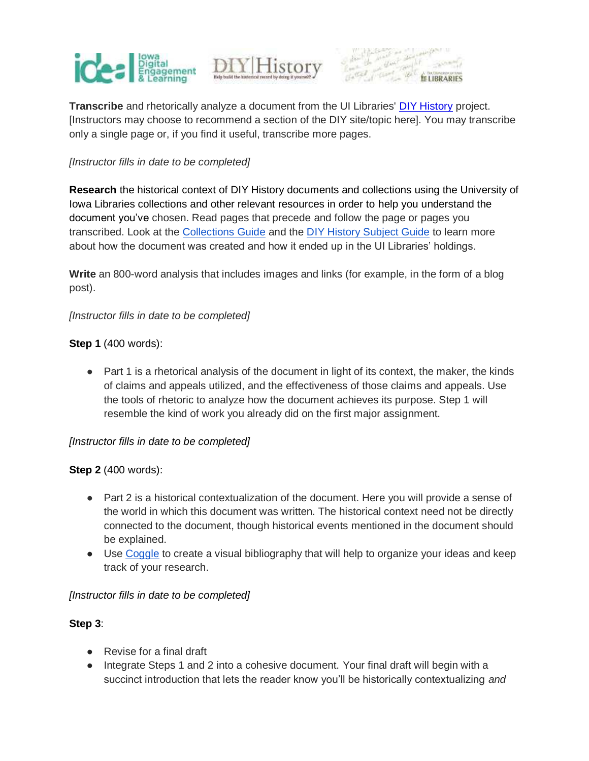





**Transcribe** and rhetorically analyze a document from the UI Libraries[' DIY History](http://diyhistory.lib.uiowa.edu/) project. [Instructors may choose to recommend a section of the DIY site/topic here]. You may transcribe only a single page or, if you find it useful, transcribe more pages.

#### [Instructor fills in date to be completed]

**Research** the historical context of DIY History documents and collections using the University of Iowa Libraries collections and other relevant resources in order to help you understand the document you've chosen. Read pages that precede and follow the page or pages you transcribed. Look at th[e Collections Guide a](http://aspace.lib.uiowa.edu/)nd the [DIY History Subject Guide](http://guides.lib.uiowa.edu/diyhistory) to learn more about how the document was created and how it ended up in the UI Libraries' holdings.

**Write** an 800-word analysis that includes images and links (for example, in the form of a blog post).

#### [Instructor fills in date to be completed]

#### **Step 1** (400 words):

● Part 1 is a rhetorical analysis of the document in light of its context, the maker, the kinds of claims and appeals utilized, and the effectiveness of those claims and appeals. Use the tools of rhetoric to analyze how the document achieves its purpose. Step 1 will resemble the kind of work you already did on the first major assignment.

#### [Instructor fills in date to be completed]

#### **Step 2** (400 words):

- Part 2 is a historical contextualization of the document. Here you will provide a sense of the world in which this document was written. The historical context need not be directly connected to the document, though historical events mentioned in the document should be explained.
- Use [Coggle](https://coggle.it/) to create a visual bibliography that will help to organize your ideas and keep track of your research.

#### [Instructor fills in date to be completed]

#### **Step 3**:

- Revise for a final draft
- Integrate Steps 1 and 2 into a cohesive document. Your final draft will begin with a succinct introduction that lets the reader know you'll be historically contextualizing and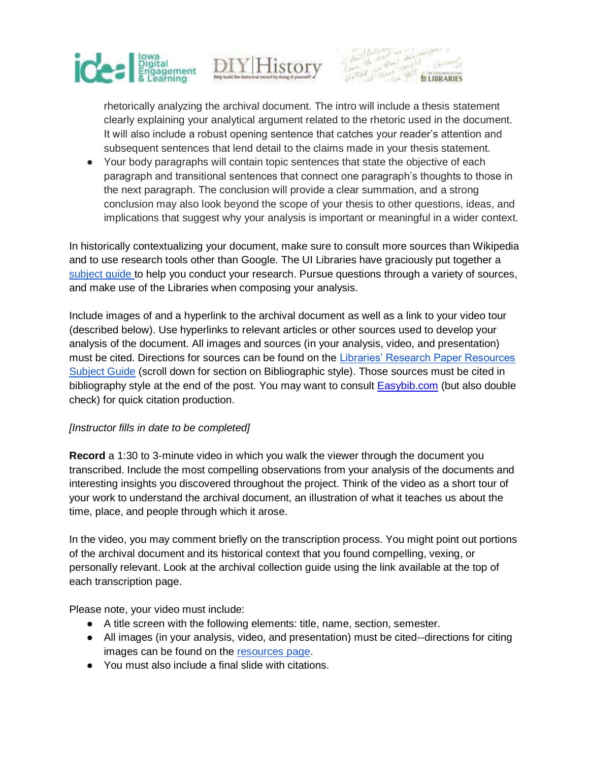



rhetorically analyzing the archival document. The intro will include a thesis statement clearly explaining your analytical argument related to the rhetoric used in the document. It will also include a robust opening sentence that catches your reader's attention and subsequent sentences that lend detail to the claims made in your thesis statement.

● Your body paragraphs will contain topic sentences that state the objective of each paragraph and transitional sentences that connect one paragraph's thoughts to those in the next paragraph. The conclusion will provide a clear summation, and a strong conclusion may also look beyond the scope of your thesis to other questions, ideas, and implications that suggest why your analysis is important or meaningful in a wider context.

In historically contextualizing your document, make sure to consult more sources than Wikipedia and to use research tools other than Google. The UI Libraries have graciously put together [a](http://guides.lib.uiowa.edu/diyhistory)  [subject guide t](http://guides.lib.uiowa.edu/diyhistory)o help you conduct your research. Pursue questions through a variety of sources, and make use of the Libraries when composing your analysis.

Include images of and a hyperlink to the archival document as well as a link to your video tour (described below). Use hyperlinks to relevant articles or other sources used to develop your analysis of the document. All images and sources (in your analysis, video, and presentation) must be cited. Directions for sources can be found on the [Libraries' Research Paper Resources](http://guides.lib.uiowa.edu/research_papers)  [Subject Guide](http://guides.lib.uiowa.edu/research_papers) (scroll down for section on Bibliographic style). Those sources must be cited in bibliography style at the end of the post. You may want to consul[t Easybib.com](http://www.easybib.com/) (but also double check) for quick citation production.

#### [Instructor fills in date to be completed]

**Record** a 1:30 to 3-minute video in which you walk the viewer through the document you transcribed. Include the most compelling observations from your analysis of the documents and interesting insights you discovered throughout the project. Think of the video as a short tour of your work to understand the archival document, an illustration of what it teaches us about the time, place, and people through which it arose.

In the video, you may comment briefly on the transcription process. You might point out portions of the archival document and its historical context that you found compelling, vexing, or personally relevant. Look at the archival collection guide using the link available at the top of each transcription page.

Please note, your video must include:

- A title screen with the following elements: title, name, section, semester.
- All images (in your analysis, video, and presentation) must be cited--directions for citing images can be found on th[e resources page.](http://guides.lib.uiowa.edu/diyhistory)
- You must also include a final slide with citations.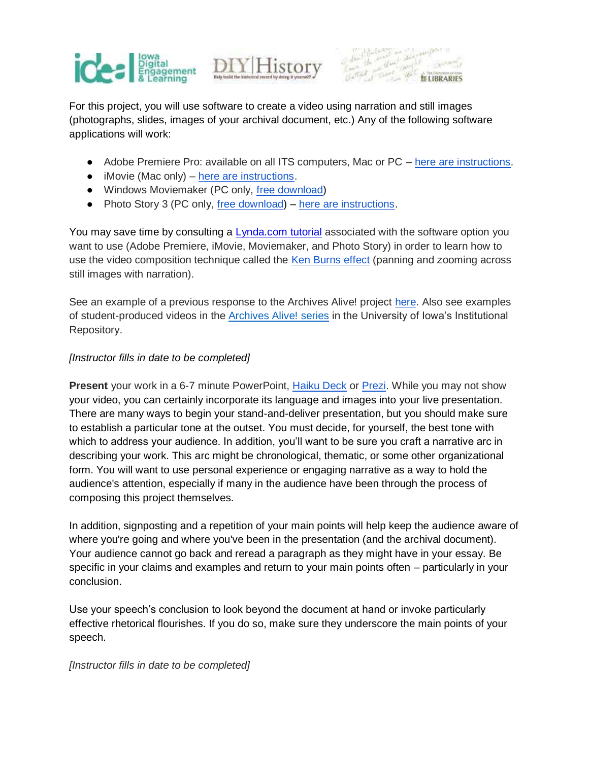



# $\frac{1}{\sqrt{2}}$

For this project, you will use software to create a video using narration and still images (photographs, slides, images of your archival document, etc.) Any of the following software applications will work:

- Adobe Premiere Pro: available on all ITS computers, Mac or PC [here are instructions.](https://drive.google.com/file/d/0By2PNqVBxbgQaGhPMW94MUhHZzA/edit)
- iMovie (Mac only) [here are instructions.](https://www.youtube.com/watch?v=gxBuQ1ew-Io)
- Windows Moviemaker (PC only[,](http://windows.microsoft.com/en-us/windows/get-movie-maker-download) [free download\)](https://www.microsoft.com/en-us/store/p/movie-maker-free-video-editor/9nblggh4wwjr)
- Photo Story 3 (PC only[, free download\)](http://download.cnet.com/Photo-Story-3-for-Windows/3000-12511_4-10339154.html) [here are instructions.](https://www.youtube.com/watch?v=w12mZsStlDU)

You may save time by consulting [a Lynda.com tutorial](http://lynda.uiowa.edu/) associated with the software option you want to use (Adobe Premiere, iMovie, Moviemaker, and Photo Story) in order to learn how to use the video composition technique called th[e Ken Burns effect](http://en.wikipedia.org/wiki/Ken_Burns_effect) (panning and zooming across still images with narration).

See an example of a previous response to the Archives Alive! projec[t here.](http://www.kaltura.com/index.php/extwidget/preview/partner_id/1004581/uiconf_id/15920232/entry_id/0_bxo207kw/embed/legacy?) Also see examples of student-produced video[s i](http://ideal.uiowa.edu/student-works?project=83&course=All&instructor=&semester=All&place=All&media=All&=Apply)n the [Archives Alive! series](http://ir.uiowa.edu/ideal_archivesalive/) in the University of Iowa's Institutional Repository.

#### [Instructor fills in date to be completed]

**Present** your work in a 6-7 minute PowerPoint[, Haiku Deck](https://www.haikudeck.com/) or [Prezi.](https://prezi.com/) While you may not show your video, you can certainly incorporate its language and images into your live presentation. There are many ways to begin your stand-and-deliver presentation, but you should make sure to establish a particular tone at the outset. You must decide, for yourself, the best tone with which to address your audience. In addition, you'll want to be sure you craft a narrative arc in describing your work. This arc might be chronological, thematic, or some other organizational form. You will want to use personal experience or engaging narrative as a way to hold the audience's attention, especially if many in the audience have been through the process of composing this project themselves.

In addition, signposting and a repetition of your main points will help keep the audience aware of where you're going and where you've been in the presentation (and the archival document). Your audience cannot go back and reread a paragraph as they might have in your essay. Be specific in your claims and examples and return to your main points often – particularly in your conclusion.

Use your speech's conclusion to look beyond the document at hand or invoke particularly effective rhetorical flourishes. If you do so, make sure they underscore the main points of your speech.

#### [Instructor fills in date to be completed]